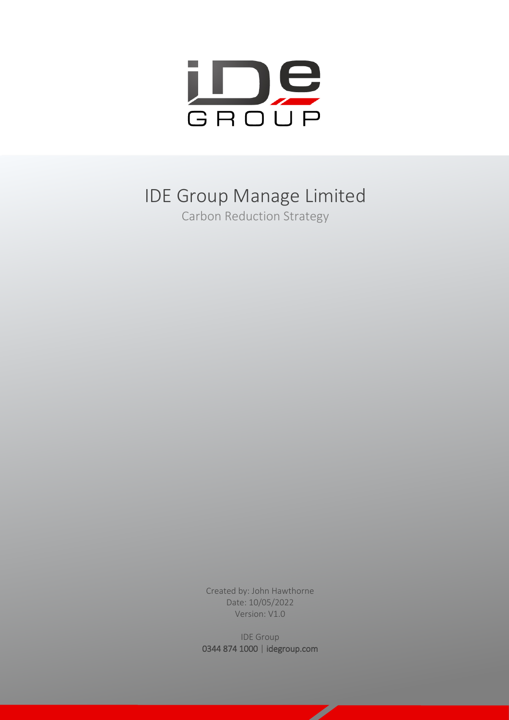

# IDE Group Manage Limited

Carbon Reduction Strategy

Created by: John Hawthorne Date: 10/05/2022 Version: V1.0

IDE Group 0344 874 1000 | idegroup.com

 $\overline{\phantom{a}}$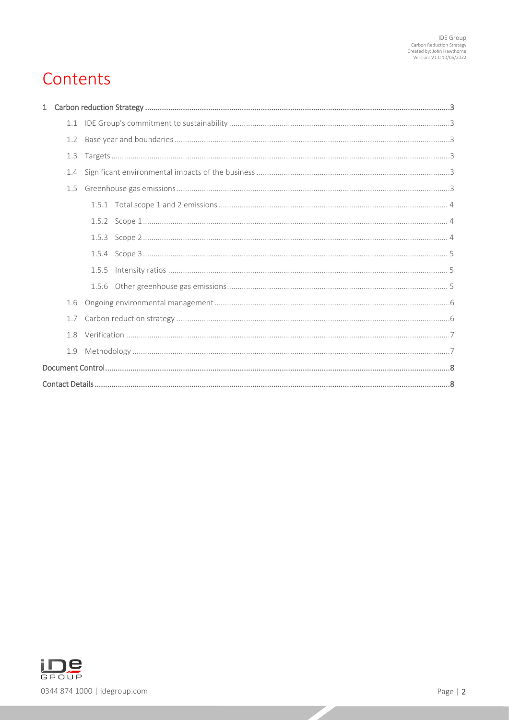# Contents

| 1.1 |  |  |  |
|-----|--|--|--|
| 1.2 |  |  |  |
| 1.3 |  |  |  |
| 1.4 |  |  |  |
| 1.5 |  |  |  |
|     |  |  |  |
|     |  |  |  |
|     |  |  |  |
|     |  |  |  |
|     |  |  |  |
|     |  |  |  |
| 1.6 |  |  |  |
| 1.7 |  |  |  |
| 1.8 |  |  |  |
| 1.9 |  |  |  |
|     |  |  |  |
|     |  |  |  |



 $\overline{\phantom{a}}$ z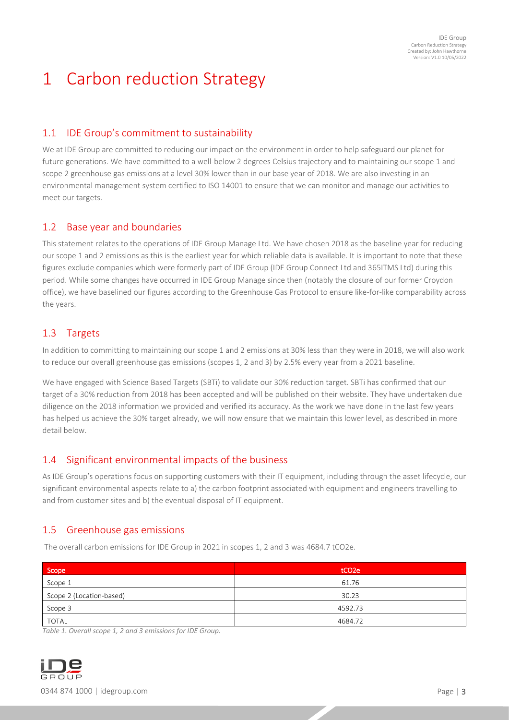# <span id="page-2-0"></span>1 Carbon reduction Strategy

## <span id="page-2-1"></span>1.1 IDE Group's commitment to sustainability

We at IDE Group are committed to reducing our impact on the environment in order to help safeguard our planet for future generations. We have committed to a well-below 2 degrees Celsius trajectory and to maintaining our scope 1 and scope 2 greenhouse gas emissions at a level 30% lower than in our base year of 2018. We are also investing in an environmental management system certified to ISO 14001 to ensure that we can monitor and manage our activities to meet our targets.

## <span id="page-2-2"></span>1.2 Base year and boundaries

This statement relates to the operations of IDE Group Manage Ltd. We have chosen 2018 as the baseline year for reducing our scope 1 and 2 emissions as this is the earliest year for which reliable data is available. It is important to note that these figures exclude companies which were formerly part of IDE Group (IDE Group Connect Ltd and 365ITMS Ltd) during this period. While some changes have occurred in IDE Group Manage since then (notably the closure of our former Croydon office), we have baselined our figures according to the Greenhouse Gas Protocol to ensure like-for-like comparability across the years.

## <span id="page-2-3"></span>1.3 Targets

In addition to committing to maintaining our scope 1 and 2 emissions at 30% less than they were in 2018, we will also work to reduce our overall greenhouse gas emissions (scopes 1, 2 and 3) by 2.5% every year from a 2021 baseline.

We have engaged with Science Based Targets (SBTi) to validate our 30% reduction target. SBTi has confirmed that our target of a 30% reduction from 2018 has been accepted and will be published on their website. They have undertaken due diligence on the 2018 information we provided and verified its accuracy. As the work we have done in the last few years has helped us achieve the 30% target already, we will now ensure that we maintain this lower level, as described in more detail below.

## <span id="page-2-4"></span>1.4 Significant environmental impacts of the business

As IDE Group's operations focus on supporting customers with their IT equipment, including through the asset lifecycle, our significant environmental aspects relate to a) the carbon footprint associated with equipment and engineers travelling to and from customer sites and b) the eventual disposal of IT equipment.

## <span id="page-2-5"></span>1.5 Greenhouse gas emissions

The overall carbon emissions for IDE Group in 2021 in scopes 1, 2 and 3 was 4684.7 tCO2e.

| Scope                    | tCO <sub>2</sub> e |  |
|--------------------------|--------------------|--|
| Scope 1                  | 61.76              |  |
| Scope 2 (Location-based) | 30.23              |  |
| Scope 3                  | 4592.73            |  |
| <b>TOTAL</b>             | 4684.72            |  |

*Table 1. Overall scope 1, 2 and 3 emissions for IDE Group.*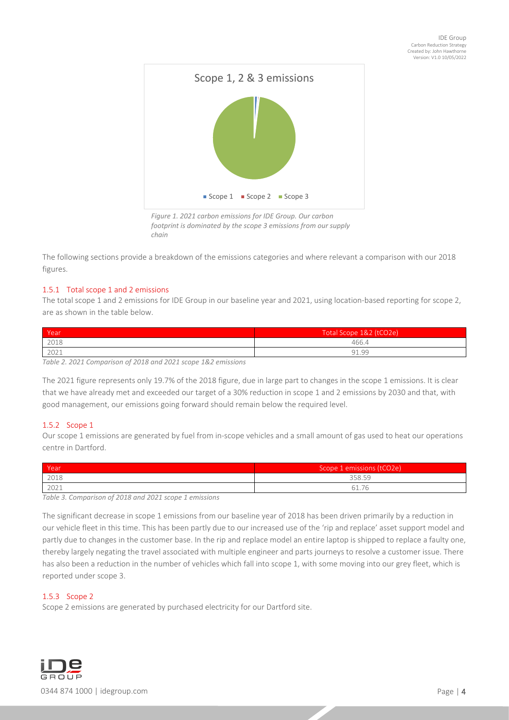

*footprint is dominated by the scope 3 emissions from our supply chain*

The following sections provide a breakdown of the emissions categories and where relevant a comparison with our 2018 figures.

## <span id="page-3-0"></span>1.5.1 Total scope 1 and 2 emissions

The total scope 1 and 2 emissions for IDE Group in our baseline year and 2021, using location-based reporting for scope 2, are as shown in the table below.

| Year | Total Scope 1&2 (tCO2e) |
|------|-------------------------|
| 2018 | 466.4                   |
| 2021 | 91.99                   |

*Table 2. 2021 Comparison of 2018 and 2021 scope 1&2 emissions*

The 2021 figure represents only 19.7% of the 2018 figure, due in large part to changes in the scope 1 emissions. It is clear that we have already met and exceeded our target of a 30% reduction in scope 1 and 2 emissions by 2030 and that, with good management, our emissions going forward should remain below the required level.

## <span id="page-3-1"></span>1.5.2 Scope 1

Our scope 1 emissions are generated by fuel from in-scope vehicles and a small amount of gas used to heat our operations centre in Dartford.

| Year | Scope 1 emissions (tCO2e)            |
|------|--------------------------------------|
| 2018 | 358.59                               |
| 2021 | $\overline{\phantom{a}}$<br>$\sim$ 1 |

*Table 3. Comparison of 2018 and 2021 scope 1 emissions*

The significant decrease in scope 1 emissions from our baseline year of 2018 has been driven primarily by a reduction in our vehicle fleet in this time. This has been partly due to our increased use of the 'rip and replace' asset support model and partly due to changes in the customer base. In the rip and replace model an entire laptop is shipped to replace a faulty one, thereby largely negating the travel associated with multiple engineer and parts journeys to resolve a customer issue. There has also been a reduction in the number of vehicles which fall into scope 1, with some moving into our grey fleet, which is reported under scope 3.

## <span id="page-3-2"></span>1.5.3 Scope 2

Scope 2 emissions are generated by purchased electricity for our Dartford site.

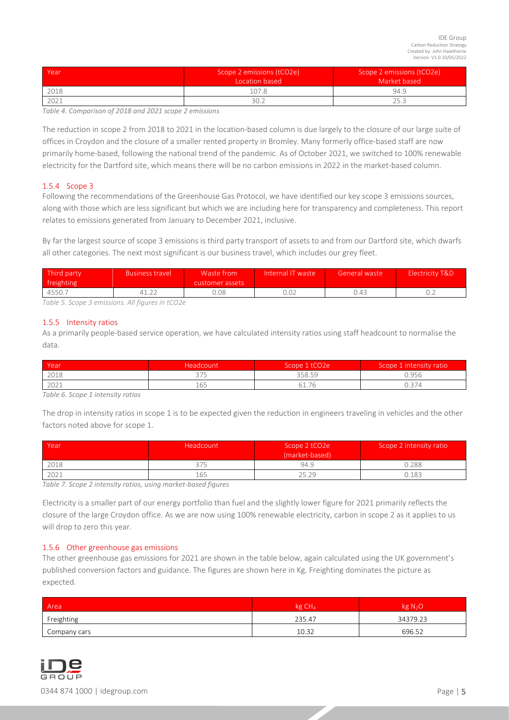| l Yeari | Scope 2 emissions (tCO2e)<br>Location based | Scope 2 emissions (tCO2e)<br>Market based |
|---------|---------------------------------------------|-------------------------------------------|
| 2018    | 107.8                                       | 94.9                                      |
| 2021    | 30.2                                        | つに つ                                      |

*Table 4. Comparison of 2018 and 2021 scope 2 emissions*

The reduction in scope 2 from 2018 to 2021 in the location-based column is due largely to the closure of our large suite of offices in Croydon and the closure of a smaller rented property in Bromley. Many formerly office-based staff are now primarily home-based, following the national trend of the pandemic. As of October 2021, we switched to 100% renewable electricity for the Dartford site, which means there will be no carbon emissions in 2022 in the market-based column.

## <span id="page-4-0"></span>1.5.4 Scope 3

Following the recommendations of the Greenhouse Gas Protocol, we have identified our key scope 3 emissions sources, along with those which are less significant but which we are including here for transparency and completeness. This report relates to emissions generated from January to December 2021, inclusive.

By far the largest source of scope 3 emissions is third party transport of assets to and from our Dartford site, which dwarfs all other categories. The next most significant is our business travel, which includes our grey fleet.

| Third party<br>freighting | <b>Business travel</b> | Waste from<br>customer assets | Internal IT waste | General waste | Electricity T&D |
|---------------------------|------------------------|-------------------------------|-------------------|---------------|-----------------|
| 4550.7                    |                        | 0.08                          | 0.02              | ว.43          |                 |

*Table 5. Scope 3 emissions. All figures in tCO2e*

#### <span id="page-4-1"></span>1.5.5 Intensity ratios

As a primarily people-based service operation, we have calculated intensity ratios using staff headcount to normalise the data.

| Year | Headcount | Scope 1 tCO2e       | Scope 1 intensity ratio |
|------|-----------|---------------------|-------------------------|
| 2018 | ヘフロ       | 358.59              | 0.956                   |
| 2021 | 165       | $-$<br>- 1<br>UI./U | 0.374                   |

*Table 6. Scope 1 intensity ratios*

The drop in intensity ratios in scope 1 is to be expected given the reduction in engineers traveling in vehicles and the other factors noted above for scope 1.

| Year | Headcount | Scope 2 tCO2e<br>(market-based) | Scope 2 intensity ratio |
|------|-----------|---------------------------------|-------------------------|
| 2018 |           | 94.9                            | 0.288                   |
| 2021 | 165       | 25.29                           | 0.183                   |

*Table 7. Scope 2 intensity ratios, using market-based figures*

Electricity is a smaller part of our energy portfolio than fuel and the slightly lower figure for 2021 primarily reflects the closure of the large Croydon office. As we are now using 100% renewable electricity, carbon in scope 2 as it applies to us will drop to zero this year.

#### <span id="page-4-2"></span>1.5.6 Other greenhouse gas emissions

The other greenhouse gas emissions for 2021 are shown in the table below, again calculated using the UK government's published conversion factors and guidance. The figures are shown here in Kg. Freighting dominates the picture as expected.

| Area         | kg CH <sub>4</sub> | kg N <sub>2</sub> O |
|--------------|--------------------|---------------------|
| Freighting   | 235.47             | 34379.23            |
| Company cars | 10.32              | 696.52              |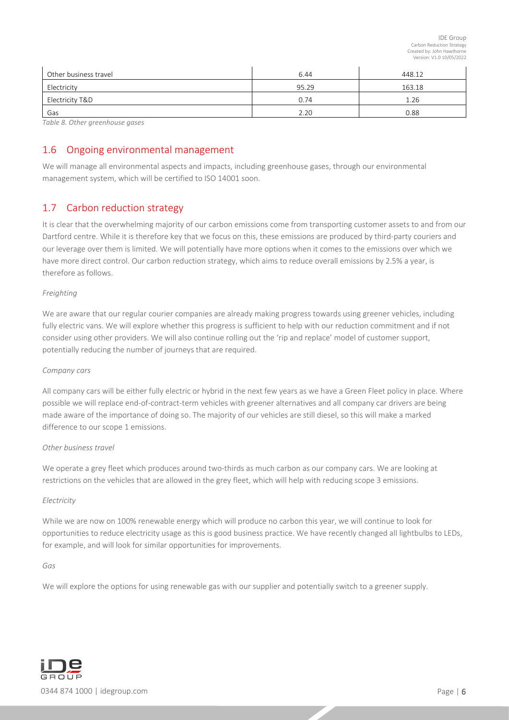| Other business travel | 6.44  | 448.12 |
|-----------------------|-------|--------|
| Electricity           | 95.29 | 163.18 |
| Electricity T&D       | 0.74  | 1.26   |
| Gas                   | 2.20  | 0.88   |

*Table 8. Other greenhouse gases*

## <span id="page-5-0"></span>1.6 Ongoing environmental management

We will manage all environmental aspects and impacts, including greenhouse gases, through our environmental management system, which will be certified to ISO 14001 soon.

## <span id="page-5-1"></span>1.7 Carbon reduction strategy

It is clear that the overwhelming majority of our carbon emissions come from transporting customer assets to and from our Dartford centre. While it is therefore key that we focus on this, these emissions are produced by third-party couriers and our leverage over them is limited. We will potentially have more options when it comes to the emissions over which we have more direct control. Our carbon reduction strategy, which aims to reduce overall emissions by 2.5% a year, is therefore as follows.

## *Freighting*

We are aware that our regular courier companies are already making progress towards using greener vehicles, including fully electric vans. We will explore whether this progress is sufficient to help with our reduction commitment and if not consider using other providers. We will also continue rolling out the 'rip and replace' model of customer support, potentially reducing the number of journeys that are required.

## *Company cars*

All company cars will be either fully electric or hybrid in the next few years as we have a Green Fleet policy in place. Where possible we will replace end-of-contract-term vehicles with greener alternatives and all company car drivers are being made aware of the importance of doing so. The majority of our vehicles are still diesel, so this will make a marked difference to our scope 1 emissions.

## *Other business travel*

We operate a grey fleet which produces around two-thirds as much carbon as our company cars. We are looking at restrictions on the vehicles that are allowed in the grey fleet, which will help with reducing scope 3 emissions.

## *Electricity*

While we are now on 100% renewable energy which will produce no carbon this year, we will continue to look for opportunities to reduce electricity usage as this is good business practice. We have recently changed all lightbulbs to LEDs, for example, and will look for similar opportunities for improvements.

## *Gas*

We will explore the options for using renewable gas with our supplier and potentially switch to a greener supply.

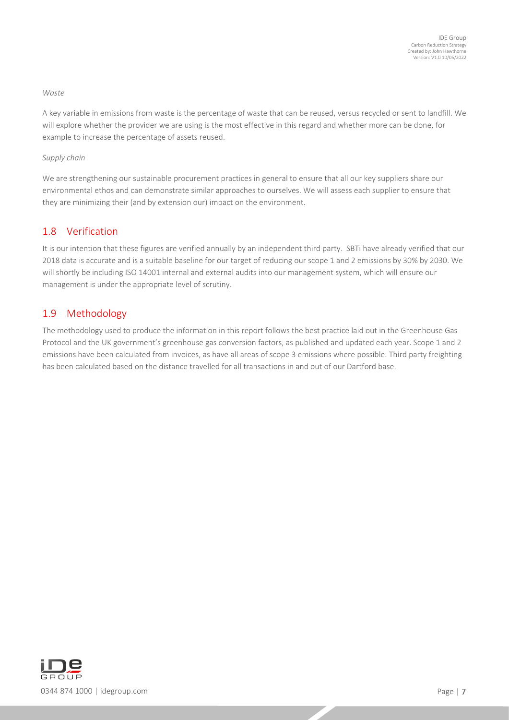#### *Waste*

A key variable in emissions from waste is the percentage of waste that can be reused, versus recycled or sent to landfill. We will explore whether the provider we are using is the most effective in this regard and whether more can be done, for example to increase the percentage of assets reused.

## *Supply chain*

We are strengthening our sustainable procurement practices in general to ensure that all our key suppliers share our environmental ethos and can demonstrate similar approaches to ourselves. We will assess each supplier to ensure that they are minimizing their (and by extension our) impact on the environment.

## <span id="page-6-0"></span>1.8 Verification

It is our intention that these figures are verified annually by an independent third party. SBTi have already verified that our 2018 data is accurate and is a suitable baseline for our target of reducing our scope 1 and 2 emissions by 30% by 2030. We will shortly be including ISO 14001 internal and external audits into our management system, which will ensure our management is under the appropriate level of scrutiny.

## <span id="page-6-1"></span>1.9 Methodology

The methodology used to produce the information in this report follows the best practice laid out in the Greenhouse Gas Protocol and the UK government's greenhouse gas conversion factors, as published and updated each year. Scope 1 and 2 emissions have been calculated from invoices, as have all areas of scope 3 emissions where possible. Third party freighting has been calculated based on the distance travelled for all transactions in and out of our Dartford base.